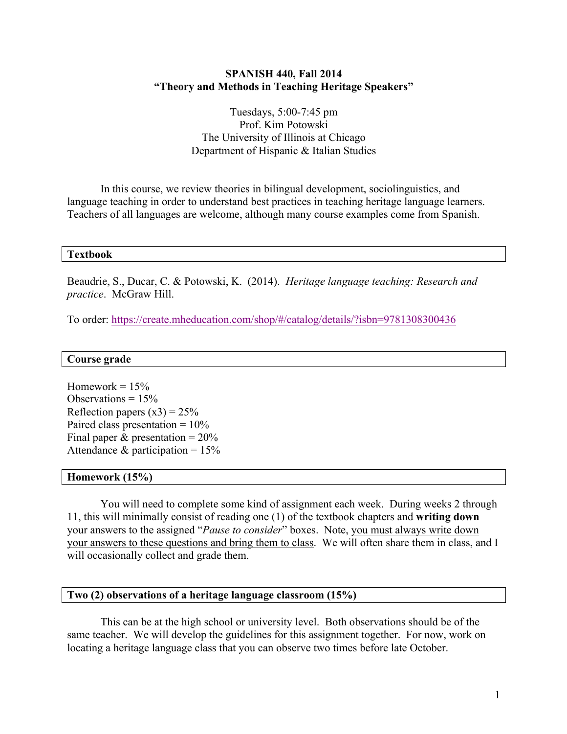# **SPANISH 440, Fall 2014 "Theory and Methods in Teaching Heritage Speakers"**

Tuesdays, 5:00-7:45 pm Prof. Kim Potowski The University of Illinois at Chicago Department of Hispanic & Italian Studies

In this course, we review theories in bilingual development, sociolinguistics, and language teaching in order to understand best practices in teaching heritage language learners. Teachers of all languages are welcome, although many course examples come from Spanish.

### **Textbook**

Beaudrie, S., Ducar, C. & Potowski, K. (2014). *Heritage language teaching: Research and practice*. McGraw Hill.

To order: https://create.mheducation.com/shop/#/catalog/details/?isbn=9781308300436

### **Course grade**

Homework  $= 15\%$ Observations  $= 15\%$ Reflection papers  $(x3) = 25%$ Paired class presentation  $= 10\%$ Final paper  $&$  presentation = 20% Attendance & participation =  $15\%$ 

### **Homework (15%)**

You will need to complete some kind of assignment each week. During weeks 2 through 11, this will minimally consist of reading one (1) of the textbook chapters and **writing down** your answers to the assigned "*Pause to consider*" boxes. Note, you must always write down your answers to these questions and bring them to class. We will often share them in class, and I will occasionally collect and grade them.

### **Two (2) observations of a heritage language classroom (15%)**

This can be at the high school or university level. Both observations should be of the same teacher. We will develop the guidelines for this assignment together. For now, work on locating a heritage language class that you can observe two times before late October.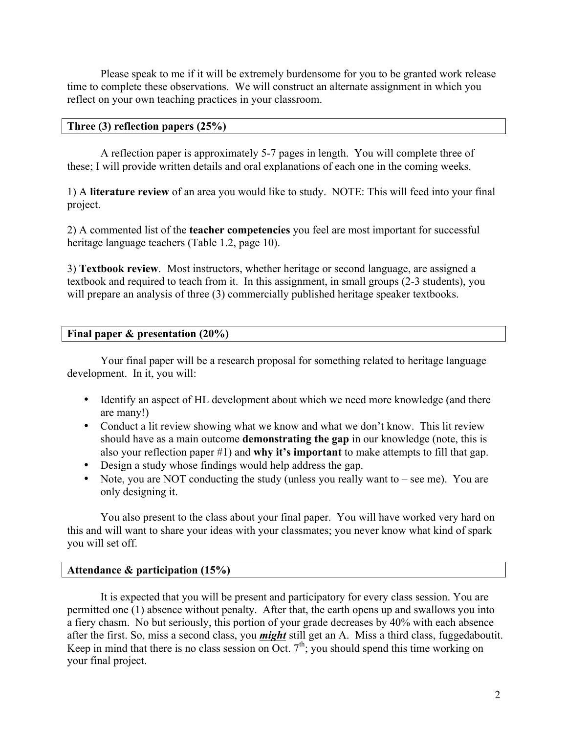Please speak to me if it will be extremely burdensome for you to be granted work release time to complete these observations. We will construct an alternate assignment in which you reflect on your own teaching practices in your classroom.

## **Three (3) reflection papers (25%)**

A reflection paper is approximately 5-7 pages in length. You will complete three of these; I will provide written details and oral explanations of each one in the coming weeks.

1) A **literature review** of an area you would like to study. NOTE: This will feed into your final project.

2) A commented list of the **teacher competencies** you feel are most important for successful heritage language teachers (Table 1.2, page 10).

3) **Textbook review**. Most instructors, whether heritage or second language, are assigned a textbook and required to teach from it. In this assignment, in small groups (2-3 students), you will prepare an analysis of three (3) commercially published heritage speaker textbooks.

# **Final paper & presentation (20%)**

Your final paper will be a research proposal for something related to heritage language development. In it, you will:

- Identify an aspect of HL development about which we need more knowledge (and there are many!)
- Conduct a lit review showing what we know and what we don't know. This lit review should have as a main outcome **demonstrating the gap** in our knowledge (note, this is also your reflection paper #1) and **why it's important** to make attempts to fill that gap.
- Design a study whose findings would help address the gap.
- Note, you are NOT conducting the study (unless you really want to see me). You are only designing it.

You also present to the class about your final paper. You will have worked very hard on this and will want to share your ideas with your classmates; you never know what kind of spark you will set off.

# **Attendance & participation (15%)**

It is expected that you will be present and participatory for every class session. You are permitted one (1) absence without penalty. After that, the earth opens up and swallows you into a fiery chasm. No but seriously, this portion of your grade decreases by 40% with each absence after the first. So, miss a second class, you *might* still get an A. Miss a third class, fuggedaboutit. Keep in mind that there is no class session on Oct.  $7<sup>th</sup>$ ; you should spend this time working on your final project.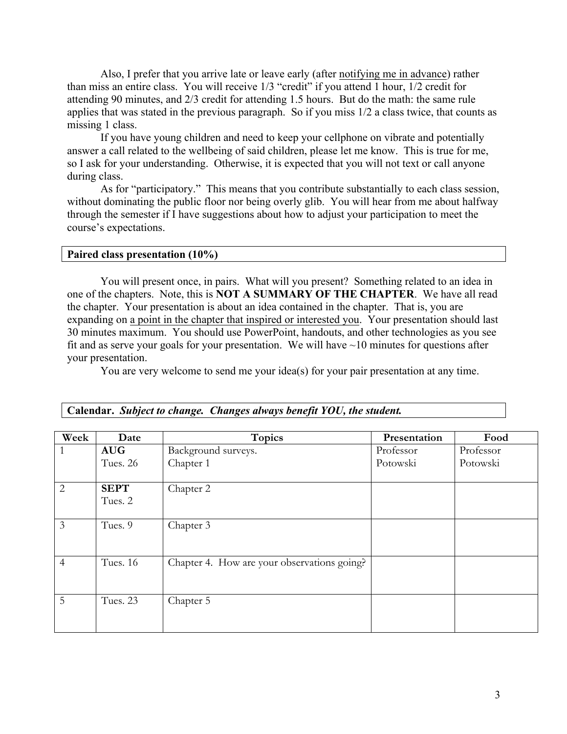Also, I prefer that you arrive late or leave early (after notifying me in advance) rather than miss an entire class. You will receive 1/3 "credit" if you attend 1 hour, 1/2 credit for attending 90 minutes, and 2/3 credit for attending 1.5 hours. But do the math: the same rule applies that was stated in the previous paragraph. So if you miss 1/2 a class twice, that counts as missing 1 class.

If you have young children and need to keep your cellphone on vibrate and potentially answer a call related to the wellbeing of said children, please let me know. This is true for me, so I ask for your understanding. Otherwise, it is expected that you will not text or call anyone during class.

As for "participatory." This means that you contribute substantially to each class session, without dominating the public floor nor being overly glib. You will hear from me about halfway through the semester if I have suggestions about how to adjust your participation to meet the course's expectations.

### **Paired class presentation (10%)**

You will present once, in pairs. What will you present? Something related to an idea in one of the chapters. Note, this is **NOT A SUMMARY OF THE CHAPTER**. We have all read the chapter. Your presentation is about an idea contained in the chapter. That is, you are expanding on a point in the chapter that inspired or interested you. Your presentation should last 30 minutes maximum. You should use PowerPoint, handouts, and other technologies as you see fit and as serve your goals for your presentation. We will have  $\sim$ 10 minutes for questions after your presentation.

You are very welcome to send me your idea(s) for your pair presentation at any time.

| Week           | Date                   | <b>Topics</b>                               | Presentation | Food      |
|----------------|------------------------|---------------------------------------------|--------------|-----------|
| 1              | <b>AUG</b>             | Background surveys.                         | Professor    | Professor |
|                | Tues. 26               | Chapter 1                                   | Potowski     | Potowski  |
| 2              | <b>SEPT</b><br>Tues. 2 | Chapter 2                                   |              |           |
| 3              | Tues. 9                | Chapter 3                                   |              |           |
| $\overline{4}$ | Tues. 16               | Chapter 4. How are your observations going? |              |           |
| 5              | Tues. 23               | Chapter 5                                   |              |           |

#### **Calendar.** *Subject to change. Changes always benefit YOU, the student.*